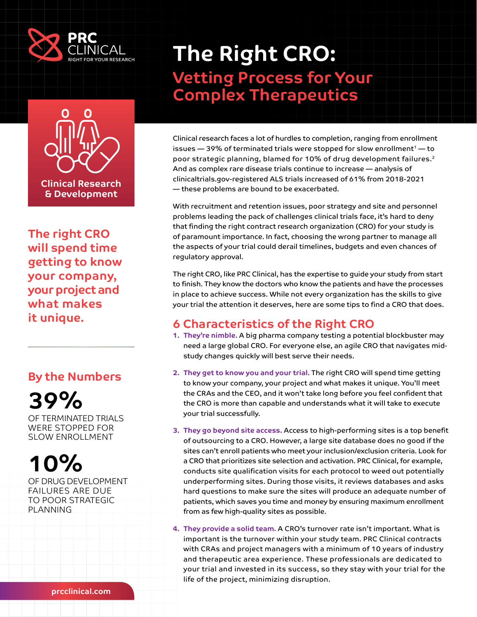



**The right CRO will spend time getting to know your company, your project and what makes it unique.**

#### **By the Numbers**



OF TERMINATED TRIALS WERE STOPPED FOR SLOW ENROLLMENT

# **10%**

OF DRUG DEVELOPMENT FAILURES ARE DUE TO POOR STRATEGIC PLANNING

## **The Right CRO: Vetting Process for Your Complex Therapeutics**

Clinical research faces a lot of hurdles to completion, ranging from enrollment issues  $-$  39% of terminated trials were stopped for slow enrollment $1$   $-$  to poor strategic planning, blamed for 10% of drug development failures.2 And as complex rare disease trials continue to increase — analysis of clinicaltrials.gov-registered ALS trials increased of 61% from 2018-2021 — these problems are bound to be exacerbated.

With recruitment and retention issues, poor strategy and site and personnel problems leading the pack of challenges clinical trials face, it's hard to deny that finding the right contract research organization (CRO) for your study is of paramount importance. In fact, choosing the wrong partner to manage all the aspects of your trial could derail timelines, budgets and even chances of regulatory approval.

The right CRO, like PRC Clinical, has the expertise to guide your study from start to finish. They know the doctors who know the patients and have the processes in place to achieve success. While not every organization has the skills to give your trial the attention it deserves, here are some tips to find a CRO that does.

## **6 Characteristics of the Right CRO**

- **1. They're nimble.** A big pharma company testing a potential blockbuster may need a large global CRO. For everyone else, an agile CRO that navigates midstudy changes quickly will best serve their needs.
- **2. They get to know you and your trial.** The right CRO will spend time getting to know your company, your project and what makes it unique. You'll meet the CRAs and the CEO, and it won't take long before you feel confident that the CRO is more than capable and understands what it will take to execute your trial successfully.
- **3. They go beyond site access.** Access to high-performing sites is a top benefit of outsourcing to a CRO. However, a large site database does no good if the sites can't enroll patients who meet your inclusion/exclusion criteria. Look for a CRO that prioritizes site selection and activation. PRC Clinical, for example, conducts site qualification visits for each protocol to weed out potentially underperforming sites. During those visits, it reviews databases and asks hard questions to make sure the sites will produce an adequate number of patients, which saves you time and money by ensuring maximum enrollment from as few high-quality sites as possible.
- **4. They provide a solid team.** A CRO's turnover rate isn't important. What is important is the turnover within your study team. PRC Clinical contracts with CRAs and project managers with a minimum of 10 years of industry and therapeutic area experience. These professionals are dedicated to your trial and invested in its success, so they stay with your trial for the life of the project, minimizing disruption.

**[prcclinical.com](http://prcclinical.com)**